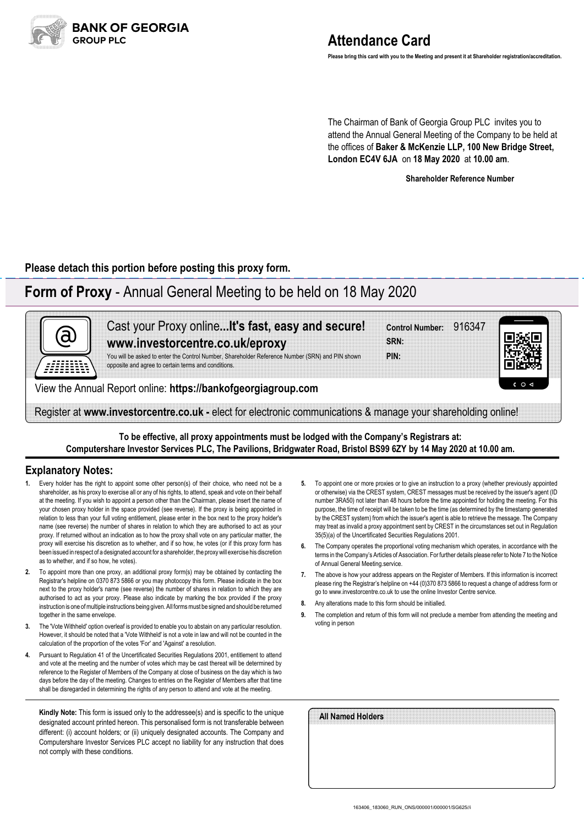

**Please bring this card with you to the Meeting and present it at Shareholder registration/accreditation.**

The Chairman of Bank of Georgia Group PLC invites you to attend the Annual General Meeting of the Company to be held at the offices of **Baker & McKenzie LLP, 100 New Bridge Street, London EC4V 6JA** on **18 May 2020** at **10.00 am**.

**Shareholder Reference Number**

**Please detach this portion before posting this proxy form.**

## **Form of Proxy** - Annual General Meeting to be held on 18 May 2020



**To be effective, all proxy appointments must be lodged with the Company's Registrars at: Computershare Investor Services PLC, The Pavilions, Bridgwater Road, Bristol BS99 6ZY by 14 May 2020 at 10.00 am.**

## **Explanatory Notes:**

- Every holder has the right to appoint some other person(s) of their choice, who need not be a shareholder, as his proxy to exercise all or any of his rights, to attend, speak and vote on their behalf at the meeting. If you wish to appoint a person other than the Chairman, please insert the name of your chosen proxy holder in the space provided (see reverse). If the proxy is being appointed in relation to less than your full voting entitlement, please enter in the box next to the proxy holder's name (see reverse) the number of shares in relation to which they are authorised to act as your proxy. If returned without an indication as to how the proxy shall vote on any particular matter, the proxy will exercise his discretion as to whether, and if so how, he votes (or if this proxy form has been issued in respect of a designated account for a shareholder, the proxy will exercise his discretion as to whether, and if so how, he votes).
- **2.** To appoint more than one proxy, an additional proxy form(s) may be obtained by contacting the Registrar's helpline on 0370 873 5866 or you may photocopy this form. Please indicate in the box next to the proxy holder's name (see reverse) the number of shares in relation to which they are authorised to act as your proxy. Please also indicate by marking the box provided if the proxy instruction is one of multiple instructions being given. All forms must be signed and should be returned together in the same envelope.
- **3.** The 'Vote Withheld' option overleaf is provided to enable you to abstain on any particular resolution. However, it should be noted that a 'Vote Withheld' is not a vote in law and will not be counted in the calculation of the proportion of the votes 'For' and 'Against' a resolution.
- **4.** Pursuant to Regulation 41 of the Uncertificated Securities Regulations 2001, entitlement to attend and vote at the meeting and the number of votes which may be cast thereat will be determined by reference to the Register of Members of the Company at close of business on the day which is two days before the day of the meeting. Changes to entries on the Register of Members after that time shall be disregarded in determining the rights of any person to attend and vote at the meeting.

**Kindly Note:** This form is issued only to the addressee(s) and is specific to the unique designated account printed hereon. This personalised form is not transferable between different: (i) account holders; or (ii) uniquely designated accounts. The Company and Computershare Investor Services PLC accept no liability for any instruction that does not comply with these conditions.

- **5.** To appoint one or more proxies or to give an instruction to a proxy (whether previously appointed or otherwise) via the CREST system, CREST messages must be received by the issuer's agent (ID number 3RA50) not later than 48 hours before the time appointed for holding the meeting. For this purpose, the time of receipt will be taken to be the time (as determined by the timestamp generated by the CREST system) from which the issuer's agent is able to retrieve the message. The Company may treat as invalid a proxy appointment sent by CREST in the circumstances set out in Regulation 35(5)(a) of the Uncertificated Securities Regulations 2001.
- **6.** The Company operates the proportional voting mechanism which operates, in accordance with the terms in the Company's Articles of Association. For further details please refer to Note 7 to the Notice of Annual General Meeting.service.
- **7.** The above is how your address appears on the Register of Members. If this information is incorrect please ring the Registrar's helpline on +44 (0)370 873 5866 to request a change of address form or go to www.investorcentre.co.uk to use the online Investor Centre service.
- **8.** Any alterations made to this form should be initialled.
- **9.** The completion and return of this form will not preclude a member from attending the meeting and voting in person

| All Named Holders |  |  |
|-------------------|--|--|
|                   |  |  |
|                   |  |  |
|                   |  |  |
|                   |  |  |